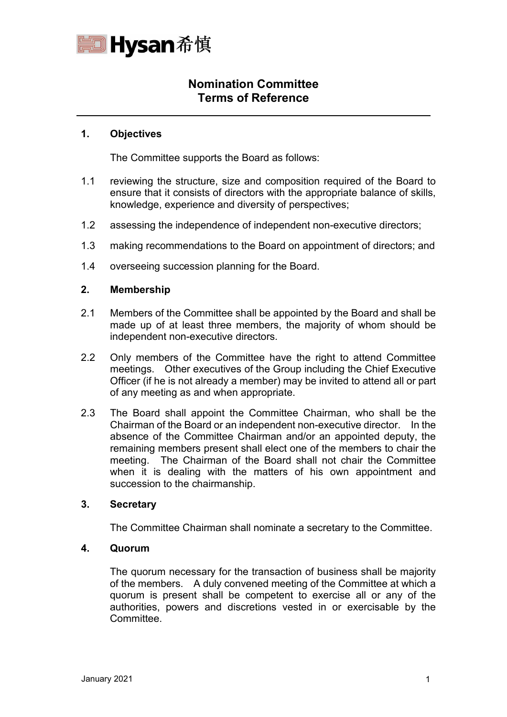

# **Nomination Committee Terms of Reference**

## **1. Objectives**

 $\overline{a}$ 

The Committee supports the Board as follows:

- 1.1 reviewing the structure, size and composition required of the Board to ensure that it consists of directors with the appropriate balance of skills, knowledge, experience and diversity of perspectives;
- 1.2 assessing the independence of independent non-executive directors;
- 1.3 making recommendations to the Board on appointment of directors; and
- 1.4 overseeing succession planning for the Board.

## **2. Membership**

- 2.1 Members of the Committee shall be appointed by the Board and shall be made up of at least three members, the majority of whom should be independent non-executive directors.
- 2.2 Only members of the Committee have the right to attend Committee meetings. Other executives of the Group including the Chief Executive Officer (if he is not already a member) may be invited to attend all or part of any meeting as and when appropriate.
- 2.3 The Board shall appoint the Committee Chairman, who shall be the Chairman of the Board or an independent non-executive director. In the absence of the Committee Chairman and/or an appointed deputy, the remaining members present shall elect one of the members to chair the meeting. The Chairman of the Board shall not chair the Committee when it is dealing with the matters of his own appointment and succession to the chairmanship.

# **3. Secretary**

The Committee Chairman shall nominate a secretary to the Committee.

#### **4. Quorum**

The quorum necessary for the transaction of business shall be majority of the members. A duly convened meeting of the Committee at which a quorum is present shall be competent to exercise all or any of the authorities, powers and discretions vested in or exercisable by the Committee.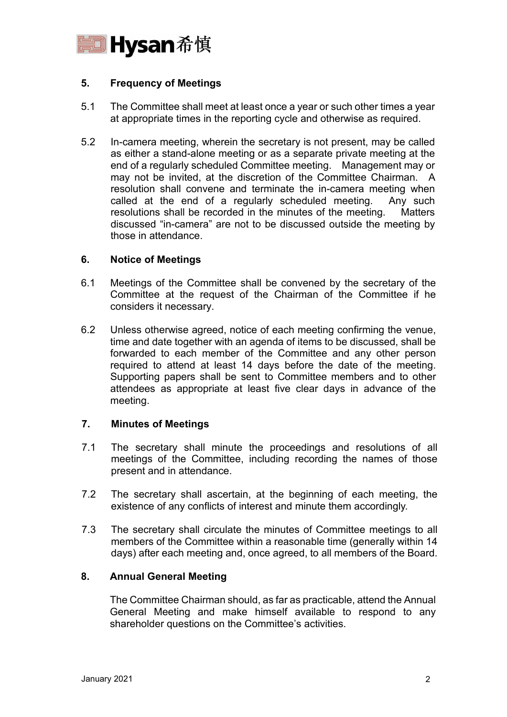

# **5. Frequency of Meetings**

- 5.1 The Committee shall meet at least once a year or such other times a year at appropriate times in the reporting cycle and otherwise as required.
- 5.2 In-camera meeting, wherein the secretary is not present, may be called as either a stand-alone meeting or as a separate private meeting at the end of a regularly scheduled Committee meeting. Management may or may not be invited, at the discretion of the Committee Chairman. A resolution shall convene and terminate the in-camera meeting when called at the end of a regularly scheduled meeting. Any such resolutions shall be recorded in the minutes of the meeting. Matters discussed "in-camera" are not to be discussed outside the meeting by those in attendance.

## **6. Notice of Meetings**

- 6.1 Meetings of the Committee shall be convened by the secretary of the Committee at the request of the Chairman of the Committee if he considers it necessary.
- 6.2 Unless otherwise agreed, notice of each meeting confirming the venue, time and date together with an agenda of items to be discussed, shall be forwarded to each member of the Committee and any other person required to attend at least 14 days before the date of the meeting. Supporting papers shall be sent to Committee members and to other attendees as appropriate at least five clear days in advance of the meeting.

#### **7. Minutes of Meetings**

- 7.1 The secretary shall minute the proceedings and resolutions of all meetings of the Committee, including recording the names of those present and in attendance.
- 7.2 The secretary shall ascertain, at the beginning of each meeting, the existence of any conflicts of interest and minute them accordingly.
- 7.3 The secretary shall circulate the minutes of Committee meetings to all members of the Committee within a reasonable time (generally within 14 days) after each meeting and, once agreed, to all members of the Board.

# **8. Annual General Meeting**

The Committee Chairman should, as far as practicable, attend the Annual General Meeting and make himself available to respond to any shareholder questions on the Committee's activities.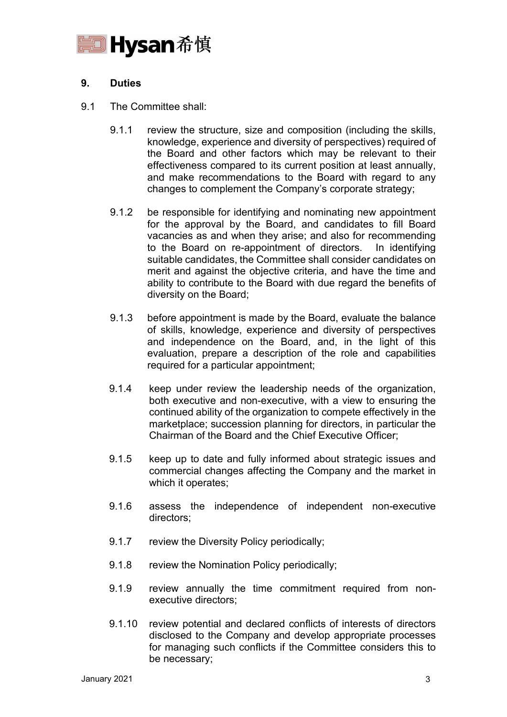

# **9. Duties**

- 9.1 The Committee shall:
	- 9.1.1 review the structure, size and composition (including the skills, knowledge, experience and diversity of perspectives) required of the Board and other factors which may be relevant to their effectiveness compared to its current position at least annually, and make recommendations to the Board with regard to any changes to complement the Company's corporate strategy;
	- 9.1.2 be responsible for identifying and nominating new appointment for the approval by the Board, and candidates to fill Board vacancies as and when they arise; and also for recommending to the Board on re-appointment of directors. In identifying suitable candidates, the Committee shall consider candidates on merit and against the objective criteria, and have the time and ability to contribute to the Board with due regard the benefits of diversity on the Board;
	- 9.1.3 before appointment is made by the Board, evaluate the balance of skills, knowledge, experience and diversity of perspectives and independence on the Board, and, in the light of this evaluation, prepare a description of the role and capabilities required for a particular appointment;
	- 9.1.4 keep under review the leadership needs of the organization, both executive and non-executive, with a view to ensuring the continued ability of the organization to compete effectively in the marketplace; succession planning for directors, in particular the Chairman of the Board and the Chief Executive Officer;
	- 9.1.5 keep up to date and fully informed about strategic issues and commercial changes affecting the Company and the market in which it operates;
	- 9.1.6 assess the independence of independent non-executive directors;
	- 9.1.7 review the Diversity Policy periodically;
	- 9.1.8 review the Nomination Policy periodically;
	- 9.1.9 review annually the time commitment required from nonexecutive directors;
	- 9.1.10 review potential and declared conflicts of interests of directors disclosed to the Company and develop appropriate processes for managing such conflicts if the Committee considers this to be necessary;